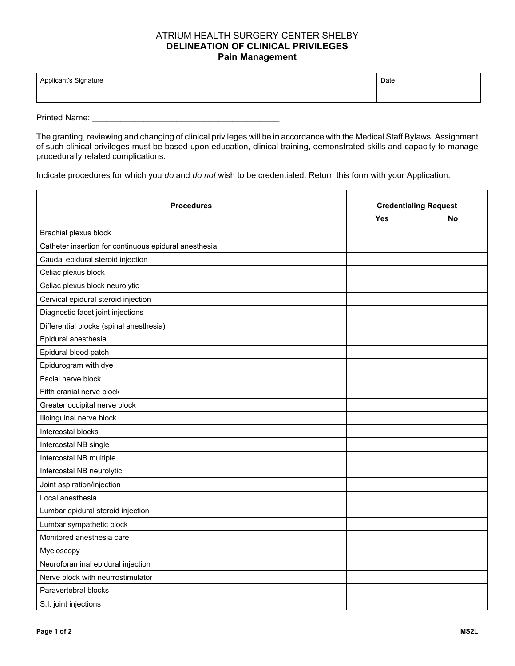## ATRIUM HEALTH SURGERY CENTER SHELBY **DELINEATION OF CLINICAL PRIVILEGES Pain Management**

| Applicant's Signature<br>ບ | Date |
|----------------------------|------|
|                            |      |

Printed Name: \_\_\_\_\_\_\_\_\_\_\_\_\_\_\_\_\_\_\_\_\_\_\_\_\_\_\_\_\_\_\_\_\_\_\_\_\_\_\_\_

The granting, reviewing and changing of clinical privileges will be in accordance with the Medical Staff Bylaws. Assignment of such clinical privileges must be based upon education, clinical training, demonstrated skills and capacity to manage procedurally related complications.

Indicate procedures for which you *do* and *do not* wish to be credentialed. Return this form with your Application.

| <b>Procedures</b>                                     | <b>Credentialing Request</b> |    |
|-------------------------------------------------------|------------------------------|----|
|                                                       | Yes                          | No |
| Brachial plexus block                                 |                              |    |
| Catheter insertion for continuous epidural anesthesia |                              |    |
| Caudal epidural steroid injection                     |                              |    |
| Celiac plexus block                                   |                              |    |
| Celiac plexus block neurolytic                        |                              |    |
| Cervical epidural steroid injection                   |                              |    |
| Diagnostic facet joint injections                     |                              |    |
| Differential blocks (spinal anesthesia)               |                              |    |
| Epidural anesthesia                                   |                              |    |
| Epidural blood patch                                  |                              |    |
| Epidurogram with dye                                  |                              |    |
| Facial nerve block                                    |                              |    |
| Fifth cranial nerve block                             |                              |    |
| Greater occipital nerve block                         |                              |    |
| Ilioinguinal nerve block                              |                              |    |
| Intercostal blocks                                    |                              |    |
| Intercostal NB single                                 |                              |    |
| Intercostal NB multiple                               |                              |    |
| Intercostal NB neurolytic                             |                              |    |
| Joint aspiration/injection                            |                              |    |
| Local anesthesia                                      |                              |    |
| Lumbar epidural steroid injection                     |                              |    |
| Lumbar sympathetic block                              |                              |    |
| Monitored anesthesia care                             |                              |    |
| Myeloscopy                                            |                              |    |
| Neuroforaminal epidural injection                     |                              |    |
| Nerve block with neurrostimulator                     |                              |    |
| Paravertebral blocks                                  |                              |    |
| S.I. joint injections                                 |                              |    |